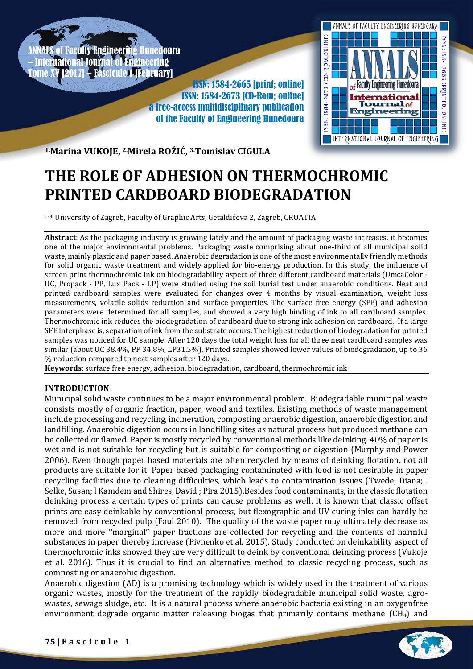Faculty Engineering Hunedoara – International Journal of Engineering **Fascicule 1 [February]** 

ISSN: 1584-2665 [print; online] ISSN: 1584-2673 [CD-Rom; online] a free-access multidisciplinary publication of the Faculty of Engineering Hunedoara



**1.Marina VUKOJE, 2.Mirela ROŽIĆ, 3.Tomislav CIGULA**

# **THE ROLE OF ADHESION ON THERMOCHROMIC PRINTED CARDBOARD BIODEGRADATION**

1-3. University of Zagreb, Faculty of Graphic Arts, Getaldićeva 2, Zagreb, CROATIA

**Abstract**: As the packaging industry is growing lately and the amount of packaging waste increases, it becomes one of the major environmental problems. Packaging waste comprising about one-third of all municipal solid waste, mainly plastic and paper based. Anaerobic degradation is one of the most environmentally friendly methods for solid organic waste treatment and widely applied for bio-energy production. In this study, the influence of screen print thermochromic ink on biodegradability aspect of three different cardboard materials (UmcaColor - UC, Propack - PP, Lux Pack - LP) were studied using the soil burial test under anaerobic conditions. Neat and printed cardboard samples were evaluated for changes over 4 months by visual examination, weight loss measurements, volatile solids reduction and surface properties. The surface free energy (SFE) and adhesion parameters were determined for all samples, and showed a very high binding of ink to all cardboard samples. Thermochromic ink reduces the biodegradation of cardboard due to strong ink adhesion on cardboard. If a large SFE interphase is, separation of ink from the substrate occurs. The highest reduction of biodegradation for printed samples was noticed for UC sample. After 120 days the total weight loss for all three neat cardboard samples was similar (about UC 38.4%, PP 34.8%, LP31.5%). Printed samples showed lower values of biodegradation, up to 36 % reduction compared to neat samples after 120 days.

**Keywords**: surface free energy, adhesion, biodegradation, cardboard, thermochromic ink

# **INTRODUCTION**

Municipal solid waste continues to be a major environmental problem. Biodegradable municipal waste consists mostly of organic fraction, paper, wood and textiles. Existing methods of waste management include processing and recycling, incineration, composting or aerobic digestion, anaerobic digestion and landfilling. Anaerobic digestion occurs in landfilling sites as natural process but produced methane can be collected or flamed. Paper is mostly recycled by conventional methods like deinking. 40% of paper is wet and is not suitable for recycling but is suitable for composting or digestion (Murphy and Power 2006). Even though paper based materials are often recycled by means of deinking flotation, not all products are suitable for it. Paper based packaging contaminated with food is not desirable in paper recycling facilities due to cleaning difficulties, which leads to contamination issues (Twede, Diana; . Selke, Susan; l Kamdem and Shires, David ; Pira 2015).Besides food contaminants, in the classic flotation deinking process a certain types of prints can cause problems as well. It is known that classic offset prints are easy deinkable by conventional process, but flexographic and UV curing inks can hardly be removed from recycled pulp (Faul 2010). The quality of the waste paper may ultimately decrease as more and more ''marginal'' paper fractions are collected for recycling and the contents of harmful substances in paper thereby increase (Pivnenko et al. 2015). Study conducted on deinkability aspect of thermochromic inks showed they are very difficult to deink by conventional deinking process (Vukoje et al. 2016). Thus it is crucial to find an alternative method to classic recycling process, such as composting or anaerobic digestion.

Anaerobic digestion (AD) is a promising technology which is widely used in the treatment of various organic wastes, mostly for the treatment of the rapidly biodegradable municipal solid waste, agrowastes, sewage sludge, etc. It is a natural process where anaerobic bacteria existing in an oxygenfree environment degrade organic matter releasing biogas that primarily contains methane (CH4) and

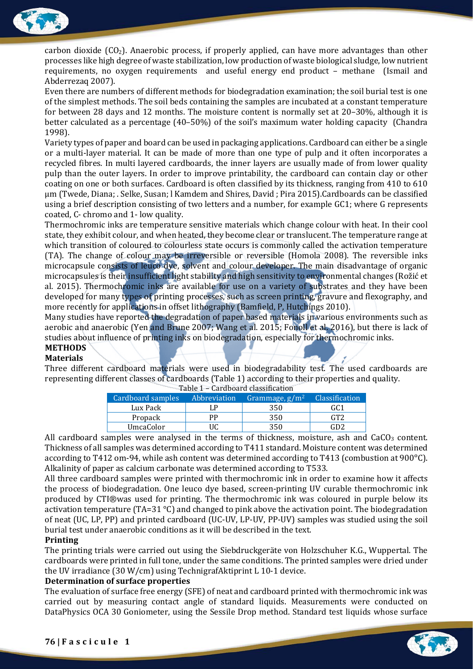

carbon dioxide  $(CO_2)$ . Anaerobic process, if properly applied, can have more advantages than other processes like high degree of waste stabilization, low production of waste biological sludge, low nutrient requirements, no oxygen requirements and useful energy end product – methane (Ismail and Abderrezaq 2007).

Even there are numbers of different methods for biodegradation examination; the soil burial test is one of the simplest methods. The soil beds containing the samples are incubated at a constant temperature for between 28 days and 12 months. The moisture content is normally set at 20–30%, although it is better calculated as a percentage (40–50%) of the soil's maximum water holding capacity (Chandra 1998).

Variety types of paper and board can be used in packaging applications. Cardboard can either be a single or a multi-layer material. It can be made of more than one type of pulp and it often incorporates a recycled fibres. In multi layered cardboards, the inner layers are usually made of from lower quality pulp than the outer layers. In order to improve printability, the cardboard can contain clay or other coating on one or both surfaces. Cardboard is often classified by its thickness, ranging from 410 to 610 µm (Twede, Diana; . Selke, Susan; l Kamdem and Shires, David ; Pira 2015).Cardboards can be classified using a brief description consisting of two letters and a number, for example GC1; where G represents coated, C- chromo and 1- low quality.

Thermochromic inks are temperature sensitive materials which change colour with heat. In their cool state, they exhibit colour, and when heated, they become clear or translucent. The temperature range at which transition of coloured to colourless state occurs is commonly called the activation temperature (TA). The change of colour may be irreversible or reversible (Homola 2008). The reversible inks microcapsule consists of leuco dye, solvent and colour developer. The main disadvantage of organic microcapsules is their insufficient light stability and high sensitivity to environmental changes (Rožić et al. 2015). Thermochromic inks are available for use on a variety of substrates and they have been developed for many types of printing processes, such as screen printing, gravure and flexography, and more recently for applications in offset lithography (Bamfield, P, Hutchings 2010).

Many studies have reported the degradation of paper based materials in various environments such as aerobic and anaerobic (Yen and Brune 2007; Wang et al. 2015; Fonoll et al. 2016), but there is lack of studies about influence of printing inks on biodegradation, especially for thermochromic inks. **METHODS**

# **Materials**

Three different cardboard materials were used in biodegradability test. The used cardboards are representing different classes of cardboards (Table 1) according to their properties and quality.

| Cardboard samples | Abbreviation | Grammage, $g/m^2$ | <b>Classification</b> |  |  |  |  |
|-------------------|--------------|-------------------|-----------------------|--|--|--|--|
| Lux Pack          | L.P          | 350               | GC 1                  |  |  |  |  |
| Propack           | РP           | 350               | GT <sub>2</sub>       |  |  |  |  |
| UmcaColor         |              | 350               | GD2                   |  |  |  |  |
|                   |              |                   |                       |  |  |  |  |

Table 1 – Cardboard classification

All cardboard samples were analysed in the terms of thickness, moisture, ash and  $CaCO<sub>3</sub>$  content. Thickness of all samples was determined according to T411 standard. Moisture content was determined according to T412 om-94, while ash content was determined according to T413 (combustion at 900°C). Alkalinity of paper as calcium carbonate was determined according to T533.

All three cardboard samples were printed with thermochromic ink in order to examine how it affects the process of biodegradation. One leuco dye based, screen-printing UV curable thermochromic ink produced by CTI®was used for printing. The thermochromic ink was coloured in purple below its activation temperature (TA=31  $^{\circ}$ C) and changed to pink above the activation point. The biodegradation of neat (UC, LP, PP) and printed cardboard (UC-UV, LP-UV, PP-UV) samples was studied using the soil burial test under anaerobic conditions as it will be described in the text.

# **Printing**

The printing trials were carried out using the Siebdruckgeräte von Holzschuher K.G., Wuppertal. The cardboards were printed in full tone, under the same conditions. The printed samples were dried under the UV irradiance (30 W/cm) using TechnigrafAktiprint L 10-1 device.

# **Determination of surface properties**

The evaluation of surface free energy (SFE) of neat and cardboard printed with thermochromic ink was carried out by measuring contact angle of standard liquids. Measurements were conducted on DataPhysics OCA 30 Goniometer, using the Sessile Drop method. Standard test liquids whose surface

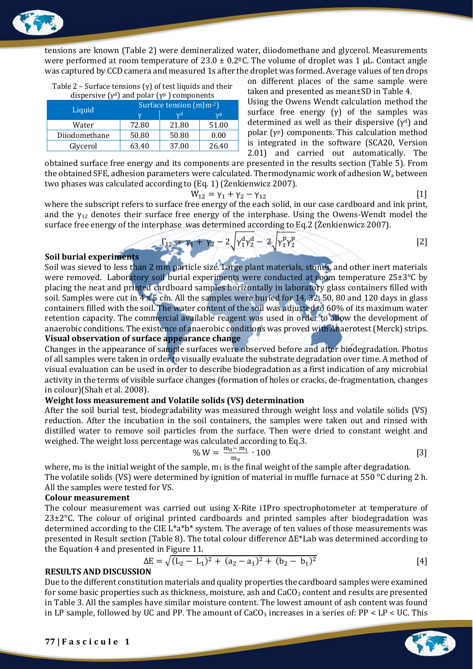

tensions are known (Table 2) were demineralized water, diiodomethane and glycerol. Measurements were performed at room temperature of 23.0  $\pm$  0.2°C. The volume of droplet was 1 µL. Contact angle was captured by CCD camera and measured 1s after the droplet was formed. Average values of ten drops

| Table 2 – Surface tensions $(y)$ of test liquids and their |
|------------------------------------------------------------|
|                                                            |
| dispersive (vd) and notar (vp) components                  |

| dispersive ( $\gamma^{\alpha}$ ) and polar ( $\gamma^{\beta}$ ) components |                         |       |                           |  |  |  |
|----------------------------------------------------------------------------|-------------------------|-------|---------------------------|--|--|--|
| Liquid                                                                     | Surface tension (mJm-2) |       |                           |  |  |  |
|                                                                            |                         | $v^d$ | $\mathbf{v}$ <sup>p</sup> |  |  |  |
| Water                                                                      | 72.80                   | 21.80 | 51.00                     |  |  |  |
| Diiodomethane                                                              | 50.80                   | 50.80 | 0.00                      |  |  |  |
| Glycerol                                                                   | 63.40                   | 37.00 | 26.40                     |  |  |  |

on different places of the same sample were taken and presented as mean±SD in Table 4.

Using the Owens Wendt calculation method the surface free energy  $(y)$  of the samples was determined as well as their dispersive  $(\gamma^d)$  and polar  $(\gamma^p)$  components. This calculation method is integrated in the software (SCA20, Version 2.01) and carried out automatically. The

obtained surface free energy and its components are presented in the results section (Table 5). From the obtained SFE, adhesion parameters were calculated. Thermodynamic work of adhesion  $W_a$  between two phases was calculated according to (Eq. 1) (Żenkienwicz 2007).

$$
W_{12} = \gamma_1 + \gamma_2 - \gamma_{12} \tag{1}
$$

where the subscript refers to surface free energy of the each solid, in our case cardboard and ink print, and the  $\gamma_{12}$  denotes their surface free energy of the interphase. Using the Owens-Wendt model the surface free energy of the interphase was determined according to Eq.2 (Żenkienwicz 2007).

$$
\Gamma_{12} = \gamma_1 + \gamma_2 - 2\sqrt{\gamma_1^d \gamma_2^d - 2\sqrt{\gamma_1^p \gamma_2^p}}
$$
 [2]

# **Soil burial experiments**

Soil was sieved to less than 2 mm particle size. Large plant materials, stones, and other inert materials were removed. Laboratory soil burial experiments were conducted at room temperature 25±3°C by placing the neat and printed cardboard samples horizontally in laboratory glass containers filled with soil. Samples were cut in 4 x 5 cm. All the samples were buried for 14, 32, 50, 80 and 120 days in glass containers filled with the soil. The water content of the soil was adjusted to 60% of its maximum water retention capacity. The commercial available reagent was used in order to allow the development of anaerobic conditions. The existence of anaerobic conditions was proved with Anaerotest (Merck) strips. **Visual observation of surface appearance change**

Changes in the appearance of sample surfaces were observed before and after biodegradation. Photos of all samples were taken in order to visually evaluate the substrate degradation over time. A method of visual evaluation can be used in order to describe biodegradation as a first indication of any microbial activity in the terms of visible surface changes (formation of holes or cracks, de-fragmentation, changes in colour)(Shah et al. 2008).

# **Weight loss measurement and Volatile solids (VS) determination**

After the soil burial test, biodegradability was measured through weight loss and volatile solids (VS) reduction. After the incubation in the soil containers, the samples were taken out and rinsed with distilled water to remove soil particles from the surface. Then were dried to constant weight and weighed. The weight loss percentage was calculated according to Eq.3.

$$
\% W = \frac{m_0 - m_1}{m_0} \cdot 100 \tag{3}
$$

where,  $\mathbf{m}_0$  is the initial weight of the sample,  $\mathbf{m}_1$  is the final weight of the sample after degradation. The volatile solids (VS) were determined by ignition of material in muffle furnace at 550 °C during 2 h. All the samples were tested for VS.

# **Colour measurement**

The colour measurement was carried out using X-Rite i1Pro spectrophotometer at temperature of  $23\pm2$ °C. The colour of original printed cardboards and printed samples after biodegradation was determined according to the CIE  $L^*a^*b^*$  system. The average of ten values of those measurements was presented in Result section (Table 8). The total colour difference ∆E\*Lab was determined according to the Equation 4 and presented in Figure 11.

$$
\Delta E = \sqrt{(L_2 - L_1)^2 + (a_2 - a_1)^2 + (b_2 - b_1)^2}
$$
 [4]

# **RESULTS AND DISCUSSION**

Due to the different constitution materials and quality properties the cardboard samples were examined for some basic properties such as thickness, moisture, ash and  $CaCO<sub>3</sub>$  content and results are presented in Table 3. All the samples have similar moisture content. The lowest amount of ash content was found in LP sample, followed by UC and PP. The amount of  $CaCO<sub>3</sub>$  increases in a series of: PP < LP < UC. This

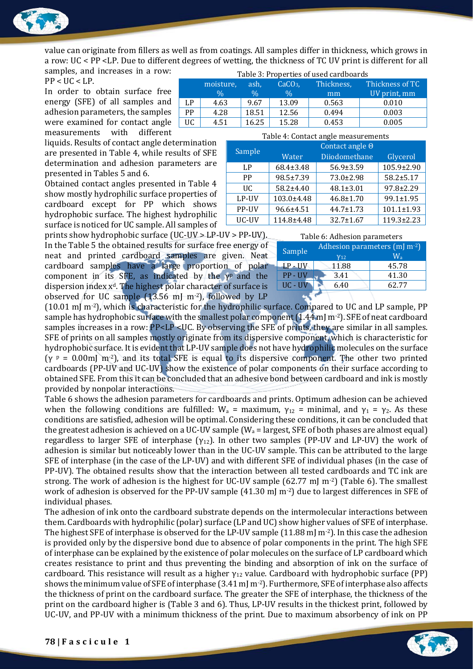

value can originate from fillers as well as from coatings. All samples differ in thickness, which grows in a row: UC < PP <LP. Due to different degrees of wetting, the thickness of TC UV print is different for all

samples, and increases in a row:  $PP < UC < LP$ .

In order to obtain surface free energy (SFE) of all samples and adhesion parameters, the samples were examined for contact angle<br>measurements with different measurements with

liquids. Results of contact angle determination are presented in Table 4, while results of SFE determination and adhesion parameters are presented in Tables 5 and 6.

Obtained contact angles presented in Table 4 show mostly hydrophilic surface properties of cardboard except for PP which shows hydrophobic surface. The highest hydrophilic surface is noticed for UC sample. All samples of

prints show hydrophobic surface (UC-UV > LP-UV > PP-UV). In the Table 5 the obtained results for surface free energy of neat and printed cardboard samples are given. Neat cardboard samples have a large proportion of polar component in its SFE, as indicated by the  $\gamma$ <sup>p</sup> and the dispersion index x<sup>d</sup>. The highest polar character of surface is observed for UC sample  $(13.56 \text{ mJ m}^{-2})$ , followed by LP

|    | Table 3: Properties of used cardboards                                  |               |               |       |              |  |  |  |
|----|-------------------------------------------------------------------------|---------------|---------------|-------|--------------|--|--|--|
|    | Thickness of TC<br>Thickness,<br>ash.<br>CaCO <sub>3</sub><br>moisture. |               |               |       |              |  |  |  |
|    | $\%$                                                                    | $\frac{0}{0}$ | $\frac{0}{0}$ | mm    | UV print, mm |  |  |  |
| LP | 4.63                                                                    | 9.67          | 13.09         | 0.563 | 0.010        |  |  |  |
| PP | 4.28                                                                    | 18.51         | 12.56         | 0.494 | 0.003        |  |  |  |
| UC | 4.51                                                                    | 16.25         | 15.28         | 0.453 | 0.005        |  |  |  |

|  | Tahle 4: Contact angle measurements |  |
|--|-------------------------------------|--|

|           | Contact angle $\Theta$ |                 |                  |  |  |
|-----------|------------------------|-----------------|------------------|--|--|
| Sample    | Water                  | Diiodomethane   | Glycerol         |  |  |
| LP        | 68.4±3.48              | $56.9 \pm 3.59$ | 105.9±2.90       |  |  |
| <b>PP</b> | 98.5±7.39              | $73.0 \pm 2.98$ | $58.2 \pm 5.17$  |  |  |
| UC.       | 58.2±4.40              | $48.1 \pm 3.01$ | 97.8±2.29        |  |  |
| LP-UV     | 103.0±4.48             | $46.8 \pm 1.70$ | 99.1±1.95        |  |  |
| PP-UV     | $96.6 \pm 4.51$        | 44.7±1.73       | $101.1 \pm 1.93$ |  |  |
| UC-UV     | 114.8±4.48             | 32.7±1.67       | 119.3±2.23       |  |  |

| Table 6: Adhesion parameters |  |
|------------------------------|--|
|                              |  |

| Sample <sup>'</sup> | Adhesion parameters $(m/m^2)$ |                |  |  |  |  |  |
|---------------------|-------------------------------|----------------|--|--|--|--|--|
|                     | V <sub>12</sub>               | W <sub>a</sub> |  |  |  |  |  |
| $LP$ -UV            | 11.88                         | 45.78          |  |  |  |  |  |
| PP - UV             | 3.41                          | 41.30          |  |  |  |  |  |
| $UC - UV$           | 6.40                          | 62.77          |  |  |  |  |  |
|                     |                               |                |  |  |  |  |  |

(10.01 mJ m-2), which is characteristic for the hydrophilic surface. Compared to UC and LP sample, PP sample has hydrophobic surface with the smallest polar component (1.44 mJ m<sup>-2</sup>). SFE of neat cardboard samples increases in a row: PP<LP <UC. By observing the SFE of prints, they are similar in all samples. SFE of prints on all samples mostly originate from its dispersive component, which is characteristic for hydrophobic surface. It is evident that LP-UV sample does not have hydrophilic molecules on the surface  $(\gamma \bar{p} = 0.00 \text{m} \text{m}^{-2})$ , and its total SFE is equal to its dispersive component. The other two printed cardboards (PP-UV and UC-UV) show the existence of polar components on their surface according to obtained SFE. From this it can be concluded that an adhesive bond between cardboard and ink is mostly provided by nonpolar interactions.

Table 6 shows the adhesion parameters for cardboards and prints. Optimum adhesion can be achieved when the following conditions are fulfilled: W<sub>a</sub> = maximum,  $\gamma_{12}$  = minimal, and  $\gamma_1$  =  $\gamma_2$ . As these conditions are satisfied, adhesion will be optimal. Considering these conditions, it can be concluded that the greatest adhesion is achieved on a UC-UV sample ( $W_a$  = largest, SFE of both phases are almost equal) regardless to larger SFE of interphase ( $\gamma_{12}$ ). In other two samples (PP-UV and LP-UV) the work of adhesion is similar but noticeably lower than in the UC-UV sample. This can be attributed to the large SFE of interphase (in the case of the LP-UV) and with different SFE of individual phases (in the case of PP-UV). The obtained results show that the interaction between all tested cardboards and TC ink are strong. The work of adhesion is the highest for UC-UV sample (62.77 mJ m-2) (Table 6). The smallest work of adhesion is observed for the PP-UV sample (41.30 mJ m-2) due to largest differences in SFE of individual phases.

The adhesion of ink onto the cardboard substrate depends on the intermolecular interactions between them. Cardboards with hydrophilic (polar) surface (LP and UC) show higher values of SFE of interphase. The highest SFE of interphase is observed for the LP-UV sample  $(11.88 \text{ m}) \text{ m}^{-2}$ ). In this case the adhesion is provided only by the dispersive bond due to absence of polar components in the print. The high SFE of interphase can be explained by the existence of polar molecules on the surface of LP cardboard which creates resistance to print and thus preventing the binding and absorption of ink on the surface of cardboard. This resistance will result as a higher  $\gamma_{12}$  value. Cardboard with hydrophobic surface (PP) shows the minimum value of SFE of interphase (3.41 mJ m-2). Furthermore, SFE of interphase also affects the thickness of print on the cardboard surface. The greater the SFE of interphase, the thickness of the print on the cardboard higher is (Table 3 and 6). Thus, LP-UV results in the thickest print, followed by UC-UV, and PP-UV with a minimum thickness of the print. Due to maximum absorbency of ink on PP

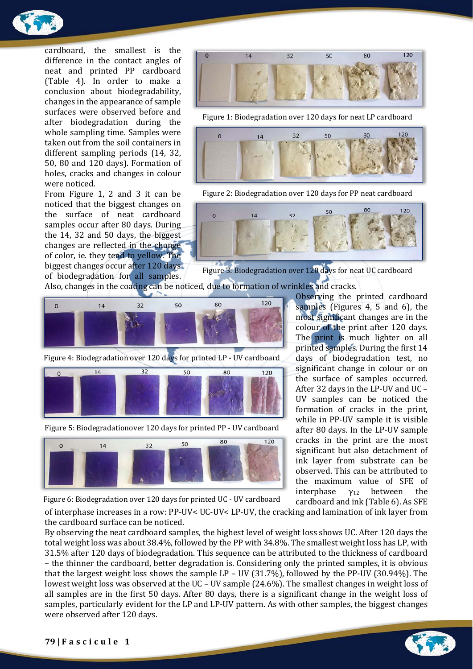

cardboard, the smallest is the difference in the contact angles of neat and printed PP cardboard (Table 4). In order to make a conclusion about biodegradability, changes in the appearance of sample surfaces were observed before and after biodegradation during the whole sampling time. Samples were taken out from the soil containers in different sampling periods (14, 32, 50, 80 and 120 days). Formation of holes, cracks and changes in colour were noticed.

From Figure 1, 2 and 3 it can be noticed that the biggest changes on the surface of neat cardboard samples occur after 80 days. During the 14, 32 and 50 days, the biggest changes are reflected in the change of color, ie. they tend to yellow. The biggest changes occur after 120 days of biodegradation for all samples.



Figure 1: Biodegradation over 120 days for neat LP cardboard



Figure 2: Biodegradation over 120 days for PP neat cardboard



Figure 3: Biodegradation over 120 days for neat UC cardboard

Also, changes in the coating can be noticed, due to formation of wrinkles and cracks.



Figure 4: Biodegradation over 120 days for printed LP - UV cardboard



Figure 5: Biodegradationover 120 days for printed PP - UV cardboard



Observing the printed cardboard samples (Figures 4, 5 and 6), the most significant changes are in the colour of the print after 120 days. The print is much lighter on all printed samples. During the first 14 days of biodegradation test, no significant change in colour or on the surface of samples occurred. After 32 days in the LP-UV and UC – UV samples can be noticed the formation of cracks in the print, while in PP-UV sample it is visible after 80 days. In the LP-UV sample cracks in the print are the most significant but also detachment of ink layer from substrate can be observed. This can be attributed to the maximum value of SFE of interphase  $y_{12}$  between the interphase cardboard and ink (Table 6). As SFE

Figure 6: Biodegradation over 120 days for printed UC - UV cardboard

of interphase increases in a row: PP-UV< UC-UV< LP-UV, the cracking and lamination of ink layer from the cardboard surface can be noticed.

By observing the neat cardboard samples, the highest level of weight loss shows UC. After 120 days the total weight loss was about 38.4%, followed by the PP with 34.8%. The smallest weight loss has LP, with 31.5% after 120 days of biodegradation. This sequence can be attributed to the thickness of cardboard – the thinner the cardboard, better degradation is. Considering only the printed samples, it is obvious that the largest weight loss shows the sample LP – UV (31.7%), followed by the PP-UV (30.94%). The lowest weight loss was observed at the UC – UV sample (24.6%). The smallest changes in weight loss of all samples are in the first 50 days. After 80 days, there is a significant change in the weight loss of samples, particularly evident for the LP and LP-UV pattern. As with other samples, the biggest changes were observed after 120 days.

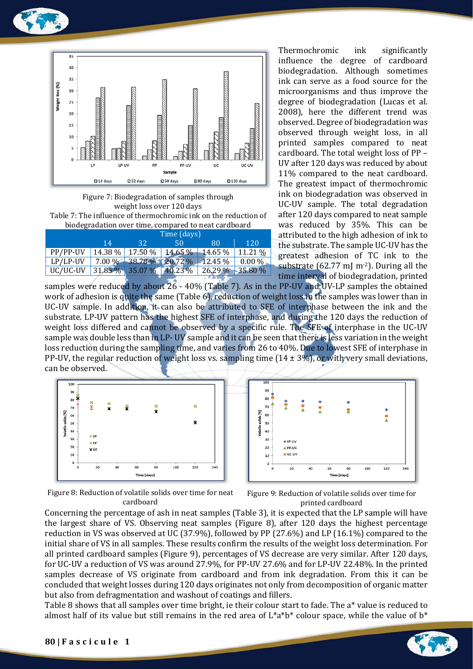

p.



Figure 7: Biodegradation of samples through weight loss over 120 days Table 7: The influence of thermochromic ink on the reduction of

| biodegradation over time, compared to neat cardboard |
|------------------------------------------------------|
| Time (dava)                                          |

|          | Time (days) |                         |                                 |           |           |  |  |
|----------|-------------|-------------------------|---------------------------------|-----------|-----------|--|--|
|          | 14          | .32 ·                   | 50                              | 80        | 120       |  |  |
| PP/PP-UV |             |                         | 14.38 % 17.50 % 14.65 % 14.65 % |           | $11.21\%$ |  |  |
| LP/LP-UV |             |                         | 7.00 % 38.78 % 20.72 % 12.45 %  |           | $0.00\%$  |  |  |
| UC/UC-UV |             | 31.85 % 35.07 % 40.23 % |                                 | $26.29\%$ | 135.80%   |  |  |
|          |             |                         |                                 |           |           |  |  |

Thermochromic ink significantly influence the degree of cardboard biodegradation. Although sometimes ink can serve as a food source for the microorganisms and thus improve the degree of biodegradation (Lucas et al. 2008), here the different trend was observed. Degree of biodegradation was observed through weight loss, in all printed samples compared to neat cardboard. The total weight loss of PP – UV after 120 days was reduced by about 11% compared to the neat cardboard. The greatest impact of thermochromic ink on biodegradation was observed in UC-UV sample. The total degradation after 120 days compared to neat sample was reduced by 35%. This can be attributed to the high adhesion of ink to the substrate. The sample UC-UV has the greatest adhesion of TC ink to the substrate  $(62.77 \text{ m} \text{J m}^{-2})$ . During all the time interval of biodegradation, printed

samples were reduced by about 26 - 40% (Table 7). As in the PP-UV and UV-LP samples the obtained work of adhesion is quite the same (Table 6), reduction of weight loss in the samples was lower than in UC-UV sample. In addition, it can also be attributed to SFE of interphase between the ink and the substrate. LP-UV pattern has the highest SFE of interphase, and during the 120 days the reduction of weight loss differed and cannot be observed by a specific rule. The SFE of interphase in the UC-UV sample was double less than in LP- UV sample and it can be seen that there is less variation in the weight loss reduction during the sampling time, and varies from 26 to 40%. Due to lowest SFE of interphase in PP-UV, the regular reduction of weight loss vs. sampling time  $(14 \pm 3\%)$ , or with very small deviations, can be observed.



Figure 8: Reduction of volatile solids over time for neat cardboard



Figure 9: Reduction of volatile solids over time for printed cardboard

Concerning the percentage of ash in neat samples (Table 3), it is expected that the LP sample will have the largest share of VS. Observing neat samples (Figure 8), after 120 days the highest percentage reduction in VS was observed at UC (37.9%), followed by PP (27.6%) and LP (16.1%) compared to the initial share of VS in all samples. These results confirm the results of the weight loss determination. For all printed cardboard samples (Figure 9), percentages of VS decrease are very similar. After 120 days, for UC-UV a reduction of VS was around 27.9%, for PP-UV 27.6% and for LP-UV 22.48%. In the printed samples decrease of VS originate from cardboard and from ink degradation. From this it can be concluded that weight losses during 120 days originates not only from decomposition of organic matter but also from defragmentation and washout of coatings and fillers.

Table 8 shows that all samples over time bright, ie their colour start to fade. The a\* value is reduced to almost half of its value but still remains in the red area of  $L^*a^*b^*$  colour space, while the value of  $b^*$ 

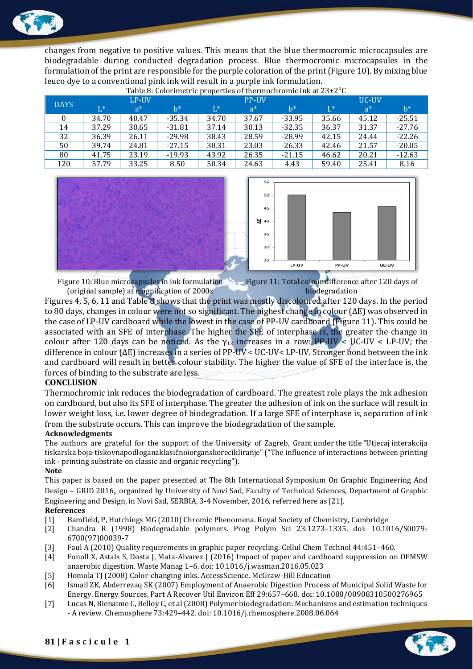

changes from negative to positive values. This means that the blue thermocromic microcapsules are biodegradable during conducted degradation process. Blue thermocromic microcapsules in the formulation of the print are responsible for the purple coloration of the print (Figure 10). By mixing blue leuco dye to a conventional pink ink will result in a purple ink formulation.

| <b>DAYS</b> | LP-UV |       |          |       | <b>PP-UV</b> |          |       | UC-UV |          |  |
|-------------|-------|-------|----------|-------|--------------|----------|-------|-------|----------|--|
|             | $L^*$ | $a^*$ | $h^*$    | $L^*$ | $a^*$        | $h^*$    | $L^*$ | $a^*$ | $h^*$    |  |
| $\theta$    | 34.70 | 40.47 | $-35.34$ | 34.70 | 37.67        | $-33.95$ | 35.66 | 45.12 | $-25.51$ |  |
| 14          | 37.29 | 30.65 | $-31.81$ | 37.14 | 30.13        | $-32.35$ | 36.37 | 31.37 | $-27.76$ |  |
| 32          | 36.39 | 26.11 | $-29.98$ | 38.43 | 28.59        | $-28.99$ | 42.15 | 24.44 | $-22.26$ |  |
| 50          | 39.74 | 24.81 | $-27.15$ | 38.31 | 23.03        | $-26.33$ | 42.46 | 21.57 | $-20.05$ |  |
| 80          | 41.75 | 23.19 | $-19.93$ | 43.92 | 26.35        | $-21.15$ | 46.62 | 20.21 | $-12.63$ |  |
| 120         | 57.79 | 33.25 | 8.50     | 50.34 | 24.63        | 4.43     | 59.40 | 25.41 | 8.16     |  |

Table 8: Colorimetric properties of thermochromic ink at  $23\pm2^{\circ}$ C



Figure 10: Blue microcapsules in ink formulation Figure 11: Total colour difference after 120 days of (original sample) at magnification of 2000x biodegradation

Figures 4, 5, 6, 11 and Table 8 shows that the print was mostly discoloured after 120 days. In the period to 80 days, changes in colour were not so significant. The highest change in colour (ΔE) was observed in the case of LP-UV cardboard while the lowest in the case of PP-UV cardboard (Figure 11). This could be associated with an SFE of interphase. The higher the SFE of interphase is, the greater the change in colour after 120 days can be noticed. As the  $\gamma_{12}$  increases in a row: PP-UV < UC-UV < LP-UV; the difference in colour (ΔE) increases in a series of PP-UV < UC-UV< LP-UV. Stronger bond between the ink and cardboard will result in better colour stability. The higher the value of SFE of the interface is, the forces of binding to the substrate are less.

#### **CONCLUSION**

Thermochromic ink reduces the biodegradation of cardboard. The greatest role plays the ink adhesion on cardboard, but also its SFE of interphase. The greater the adhesion of ink on the surface will result in lower weight loss, i.e. lower degree of biodegradation. If a large SFE of interphase is, separation of ink from the substrate occurs. This can improve the biodegradation of the sample.

#### **Acknowledgments**

The authors are grateful for the support of the University of Zagreb, Grant under the title "Utjecaj interakcija tiskarska boja-tiskovnapodloganaklasičnoiorganskorecikliranje" ("The influence of interactions between printing ink - printing substrate on classic and organic recycling").

#### **Note**

This paper is based on the paper presented at The 8th International Symposium On Graphic Engineering And Design – GRID 2016, organized by University of Novi Sad, Faculty of Technical Sciences, Department of Graphic Engineering and Design, in Novi Sad, SERBIA, 3-4 November, 2016, referred here as [21].

#### **References**

- [1] Bamfield, P, Hutchings MG (2010) Chromic Phenomena. Royal Society of Chemistry, Cambridge
- [2] Chandra R (1998) Biodegradable polymers. Prog Polym Sci 23:1273–1335. doi: 10.1016/S0079- 6700(97)00039-7
- [3] Faul A (2010) Quality requirements in graphic paper recycling. Cellul Chem Technol 44:451–460.
- Fonoll X, Astals S, Dosta J, Mata-Alvarez J (2016) Impact of paper and cardboard suppression on OFMSW anaerobic digestion. Waste Manag 1–6. doi: 10.1016/j.wasman.2016.05.023
- [5] Homola TJ (2008) Color-changing inks. AccessScience. McGraw-Hill Education [6] Ismail ZK, Abderrezaq SK (2007) Employment of Anaerobic Digestion Process
- [6] Ismail ZK, Abderrezaq SK (2007) Employment of Anaerobic Digestion Process of Municipal Solid Waste for Energy. Energy Sources, Part A Recover Util Environ Eff 29:657–668. doi: 10.1080/00908310500276965
- [7] Lucas N, Bienaime C, Belloy C, et al (2008) Polymer biodegradation: Mechanisms and estimation techniques - A review. Chemosphere 73:429–442. doi: 10.1016/j.chemosphere.2008.06.064